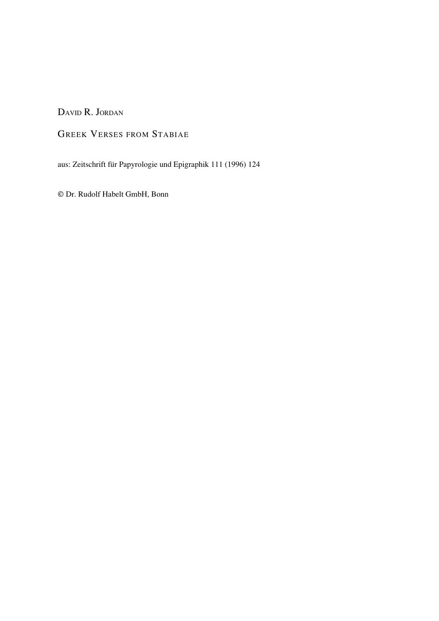DAVID R. JORDAN

## GREEK VERSES FROM STABIAE

aus: Zeitschrift für Papyrologie und Epigraphik 111 (1996) 124

© Dr. Rudolf Habelt GmbH, Bonn